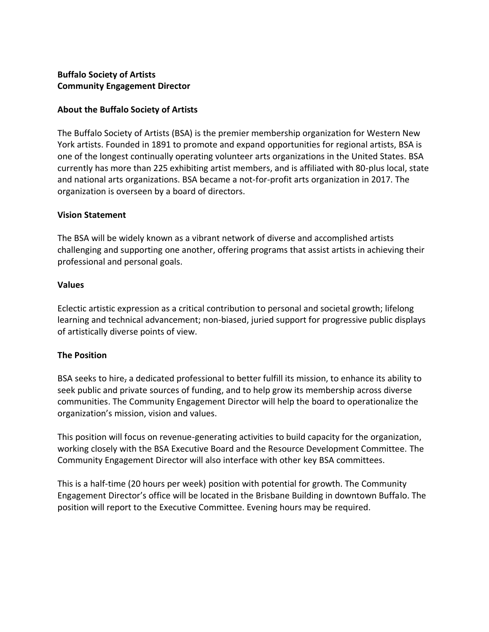## **Buffalo Society of Artists Community Engagement Director**

## **About the Buffalo Society of Artists**

The Buffalo Society of Artists (BSA) is the premier membership organization for Western New York artists. Founded in 1891 to promote and expand opportunities for regional artists, BSA is one of the longest continually operating volunteer arts organizations in the United States. BSA currently has more than 225 exhibiting artist members, and is affiliated with 80-plus local, state and national arts organizations. BSA became a not-for-profit arts organization in 2017. The organization is overseen by a board of directors.

## **Vision Statement**

The BSA will be widely known as a vibrant network of diverse and accomplished artists challenging and supporting one another, offering programs that assist artists in achieving their professional and personal goals.

## **Values**

Eclectic artistic expression as a critical contribution to personal and societal growth; lifelong learning and technical advancement; non-biased, juried support for progressive public displays of artistically diverse points of view.

# **The Position**

BSA seeks to hire, a dedicated professional to better fulfill its mission, to enhance its ability to seek public and private sources of funding, and to help grow its membership across diverse communities. The Community Engagement Director will help the board to operationalize the organization's mission, vision and values.

This position will focus on revenue-generating activities to build capacity for the organization, working closely with the BSA Executive Board and the Resource Development Committee. The Community Engagement Director will also interface with other key BSA committees.

This is a half-time (20 hours per week) position with potential for growth. The Community Engagement Director's office will be located in the Brisbane Building in downtown Buffalo. The position will report to the Executive Committee. Evening hours may be required.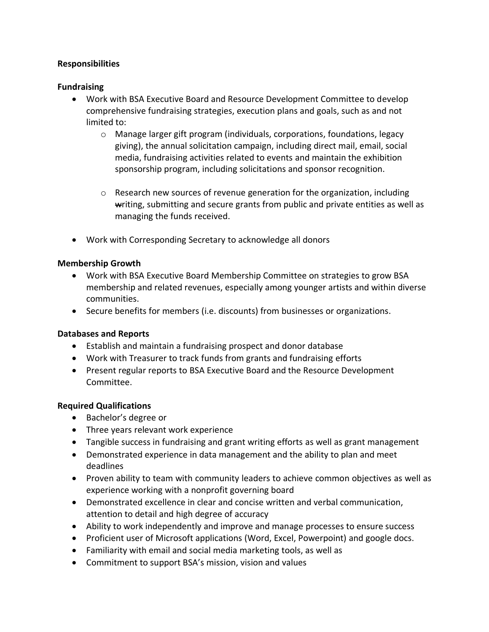## **Responsibilities**

### **Fundraising**

- Work with BSA Executive Board and Resource Development Committee to develop comprehensive fundraising strategies, execution plans and goals, such as and not limited to:
	- $\circ$  Manage larger gift program (individuals, corporations, foundations, legacy giving), the annual solicitation campaign, including direct mail, email, social media, fundraising activities related to events and maintain the exhibition sponsorship program, including solicitations and sponsor recognition.
	- o Research new sources of revenue generation for the organization, including writing, submitting and secure grants from public and private entities as well as managing the funds received.
- Work with Corresponding Secretary to acknowledge all donors

#### **Membership Growth**

- Work with BSA Executive Board Membership Committee on strategies to grow BSA membership and related revenues, especially among younger artists and within diverse communities.
- Secure benefits for members (i.e. discounts) from businesses or organizations.

#### **Databases and Reports**

- Establish and maintain a fundraising prospect and donor database
- Work with Treasurer to track funds from grants and fundraising efforts
- Present regular reports to BSA Executive Board and the Resource Development Committee.

#### **Required Qualifications**

- Bachelor's degree or
- Three years relevant work experience
- Tangible success in fundraising and grant writing efforts as well as grant management
- Demonstrated experience in data management and the ability to plan and meet deadlines
- Proven ability to team with community leaders to achieve common objectives as well as experience working with a nonprofit governing board
- Demonstrated excellence in clear and concise written and verbal communication, attention to detail and high degree of accuracy
- Ability to work independently and improve and manage processes to ensure success
- Proficient user of Microsoft applications (Word, Excel, Powerpoint) and google docs.
- Familiarity with email and social media marketing tools, as well as
- Commitment to support BSA's mission, vision and values